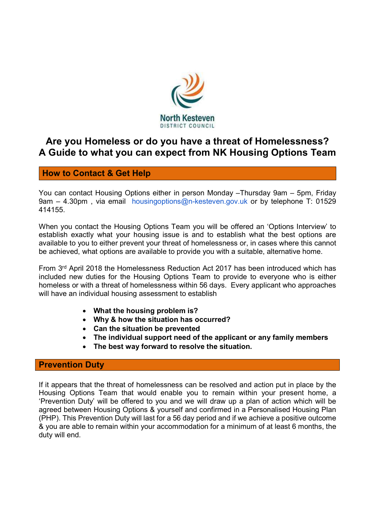

# Are you Homeless or do you have a threat of Homelessness? A Guide to what you can expect from NK Housing Options Team

# How to Contact & Get Help

You can contact Housing Options either in person Monday –Thursday 9am – 5pm, Friday 9am – 4.30pm, via email housingoptions@n-kesteven.gov.uk or by telephone T: 01529 414155.

When you contact the Housing Options Team you will be offered an 'Options Interview' to establish exactly what your housing issue is and to establish what the best options are available to you to either prevent your threat of homelessness or, in cases where this cannot be achieved, what options are available to provide you with a suitable, alternative home.

From 3rd April 2018 the Homelessness Reduction Act 2017 has been introduced which has included new duties for the Housing Options Team to provide to everyone who is either homeless or with a threat of homelessness within 56 days. Every applicant who approaches will have an individual housing assessment to establish

- What the housing problem is?
- Why & how the situation has occurred?
- Can the situation be prevented
- The individual support need of the applicant or any family members
- The best way forward to resolve the situation.

#### Prevention Duty

If it appears that the threat of homelessness can be resolved and action put in place by the Housing Options Team that would enable you to remain within your present home, a 'Prevention Duty' will be offered to you and we will draw up a plan of action which will be agreed between Housing Options & yourself and confirmed in a Personalised Housing Plan (PHP). This Prevention Duty will last for a 56 day period and if we achieve a positive outcome & you are able to remain within your accommodation for a minimum of at least 6 months, the duty will end.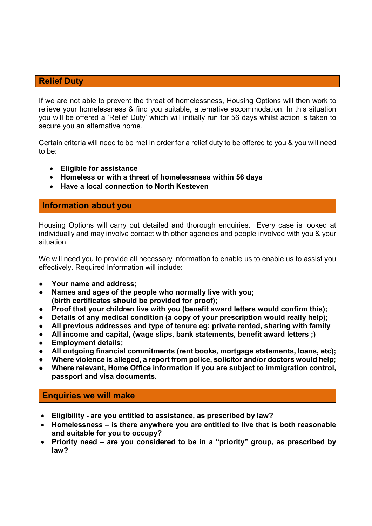### Relief Duty

If we are not able to prevent the threat of homelessness, Housing Options will then work to relieve your homelessness & find you suitable, alternative accommodation. In this situation you will be offered a 'Relief Duty' which will initially run for 56 days whilst action is taken to secure you an alternative home.

Certain criteria will need to be met in order for a relief duty to be offered to you & you will need to be:

- Eligible for assistance
- Homeless or with a threat of homelessness within 56 days
- Have a local connection to North Kesteven

### Information about you

Housing Options will carry out detailed and thorough enquiries. Every case is looked at individually and may involve contact with other agencies and people involved with you & your situation.

We will need you to provide all necessary information to enable us to enable us to assist you effectively. Required Information will include:

- Your name and address:
- Names and ages of the people who normally live with you; (birth certificates should be provided for proof);
- Proof that your children live with you (benefit award letters would confirm this);
- Details of any medical condition (a copy of your prescription would really help);
- All previous addresses and type of tenure eg: private rented, sharing with family
- All income and capital, (wage slips, bank statements, benefit award letters ;)
- **Employment details;**
- All outgoing financial commitments (rent books, mortgage statements, loans, etc);
- Where violence is alleged, a report from police, solicitor and/or doctors would help;
- Where relevant, Home Office information if you are subject to immigration control, passport and visa documents.

#### Enquiries we will make

- Eligibility are you entitled to assistance, as prescribed by law?
- Homelessness is there anywhere you are entitled to live that is both reasonable and suitable for you to occupy?
- Priority need are you considered to be in a "priority" group, as prescribed by law?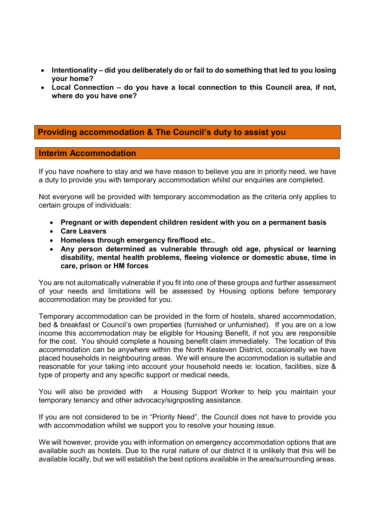- Intentionality did you deliberately do or fail to do something that led to you losing your home?
- Local Connection do you have a local connection to this Council area, if not, where do you have one?

# Providing accommodation & The Council's duty to assist you

#### Interim Accommodation

If you have nowhere to stay and we have reason to believe you are in priority need, we have a duty to provide you with temporary accommodation whilst our enquiries are completed.

Not everyone will be provided with temporary accommodation as the criteria only applies to certain groups of individuals:

- Pregnant or with dependent children resident with you on a permanent basis
- Care Leavers
- Homeless through emergency fire/flood etc..
- Any person determined as vulnerable through old age, physical or learning disability, mental health problems, fleeing violence or domestic abuse, time in care, prison or HM forces

You are not automatically vulnerable if you fit into one of these groups and further assessment of your needs and limitations will be assessed by Housing options before temporary accommodation may be provided for you.

Temporary accommodation can be provided in the form of hostels, shared accommodation, bed & breakfast or Council's own properties (furnished or unfurnished). If you are on a low income this accommodation may be eligible for Housing Benefit, if not you are responsible for the cost. You should complete a housing benefit claim immediately. The location of this accommodation can be anywhere within the North Kesteven District, occasionally we have placed households in neighbouring areas. We will ensure the accommodation is suitable and reasonable for your taking into account your household needs ie: location, facilities, size & type of property and any specific support or medical needs,

You will also be provided with a Housing Support Worker to help you maintain your temporary tenancy and other advocacy/signposting assistance.

If you are not considered to be in "Priority Need", the Council does not have to provide you with accommodation whilst we support you to resolve your housing issue.

We will however, provide you with information on emergency accommodation options that are available such as hostels. Due to the rural nature of our district it is unlikely that this will be available locally, but we will establish the best options available in the area/surrounding areas.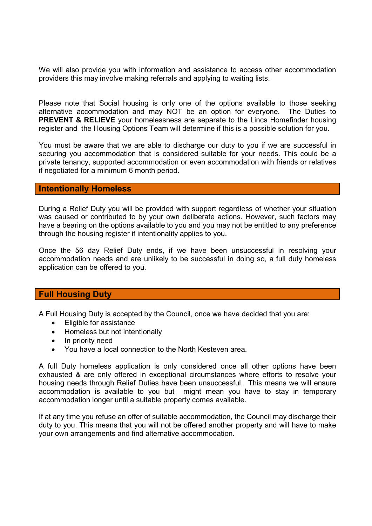We will also provide you with information and assistance to access other accommodation providers this may involve making referrals and applying to waiting lists.

Please note that Social housing is only one of the options available to those seeking alternative accommodation and may NOT be an option for everyone. The Duties to PREVENT & RELIEVE your homelessness are separate to the Lincs Homefinder housing register and the Housing Options Team will determine if this is a possible solution for you.

You must be aware that we are able to discharge our duty to you if we are successful in securing you accommodation that is considered suitable for your needs. This could be a private tenancy, supported accommodation or even accommodation with friends or relatives if negotiated for a minimum 6 month period.

#### Intentionally Homeless

During a Relief Duty you will be provided with support regardless of whether your situation was caused or contributed to by your own deliberate actions. However, such factors may have a bearing on the options available to you and you may not be entitled to any preference through the housing register if intentionality applies to you.

Once the 56 day Relief Duty ends, if we have been unsuccessful in resolving your accommodation needs and are unlikely to be successful in doing so, a full duty homeless application can be offered to you.

#### Full Housing Duty

A Full Housing Duty is accepted by the Council, once we have decided that you are:

- Eligible for assistance
- Homeless but not intentionally
- In priority need
- You have a local connection to the North Kesteven area.

A full Duty homeless application is only considered once all other options have been exhausted & are only offered in exceptional circumstances where efforts to resolve your housing needs through Relief Duties have been unsuccessful. This means we will ensure accommodation is available to you but might mean you have to stay in temporary accommodation longer until a suitable property comes available.

If at any time you refuse an offer of suitable accommodation, the Council may discharge their duty to you. This means that you will not be offered another property and will have to make your own arrangements and find alternative accommodation.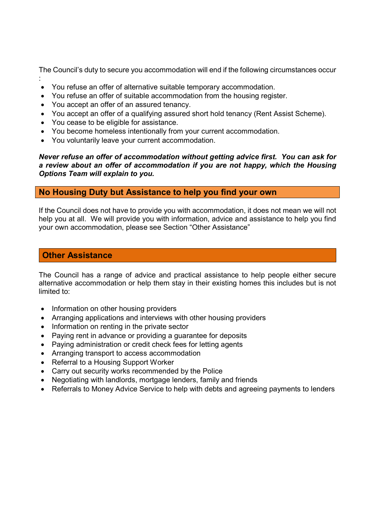The Council's duty to secure you accommodation will end if the following circumstances occur

- : You refuse an offer of alternative suitable temporary accommodation.
- You refuse an offer of suitable accommodation from the housing register.
- You accept an offer of an assured tenancy.
- You accept an offer of a qualifying assured short hold tenancy (Rent Assist Scheme).
- You cease to be eligible for assistance.
- You become homeless intentionally from your current accommodation.
- You voluntarily leave your current accommodation.

Never refuse an offer of accommodation without getting advice first. You can ask for a review about an offer of accommodation if you are not happy, which the Housing Options Team will explain to you.

### No Housing Duty but Assistance to help you find your own

If the Council does not have to provide you with accommodation, it does not mean we will not help you at all. We will provide you with information, advice and assistance to help you find your own accommodation, please see Section "Other Assistance"

# Other Assistance

The Council has a range of advice and practical assistance to help people either secure alternative accommodation or help them stay in their existing homes this includes but is not limited to:

- Information on other housing providers
- Arranging applications and interviews with other housing providers
- Information on renting in the private sector
- Paying rent in advance or providing a guarantee for deposits
- Paying administration or credit check fees for letting agents
- Arranging transport to access accommodation
- Referral to a Housing Support Worker
- Carry out security works recommended by the Police
- Negotiating with landlords, mortgage lenders, family and friends
- Referrals to Money Advice Service to help with debts and agreeing payments to lenders